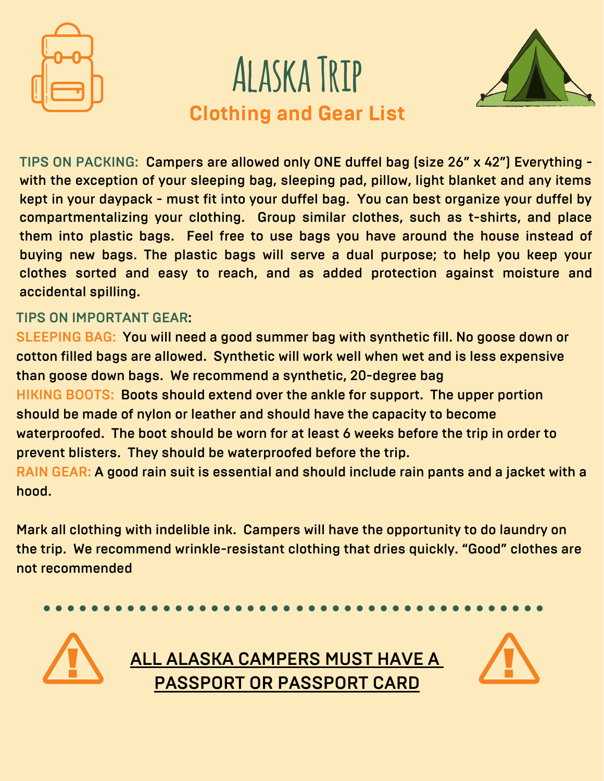





TIPS ON PACKING: Campers are allowed only ONE duffel bag (size 26" x 42") Everything with the exception of your sleeping bag, sleeping pad, pillow, light blanket and any items kept in your daypack - must fit into your duffel bag. You can best organize your duffel by compartmentalizing your clothing. Group similar clothes, such as t-shirts, and place them into plastic bags. Feel free to use bags you have around the house instead of buying new bags. The plastic bags will serve a dual purpose; to help you keep your clothes sorted and easy to reach, and as added protection against moisture and accidental spilling.

## TIPS ON IMPORTANT GEAR:

SLEEPING BAG: You will need a good summer bag with synthetic fill. No goose down or cotton filled bags are allowed. Synthetic will work well when wet and is less expensive than goose down bags. We recommend a synthetic, 20-degree bag HIKING BOOTS: Boots should extend over the ankle for support. The upper portion should be made of nylon or leather and should have the capacity to become waterproofed. The boot should be worn for at least 6 weeks before the trip in order to prevent blisters. They should be waterproofed before the trip. RAIN GEAR: A good rain suit is essential and should include rain pants and a jacket with a hood.

Mark all clothing with indelible ink. Campers will have the opportunity to do laundry on the trip. We recommend wrinkle-resistant clothing that dries quickly. "Good" clothes are not recommended



**ALL ALASKA CAMPERS MUST HAVE A** PASSPORT OR PASSPORT CARD